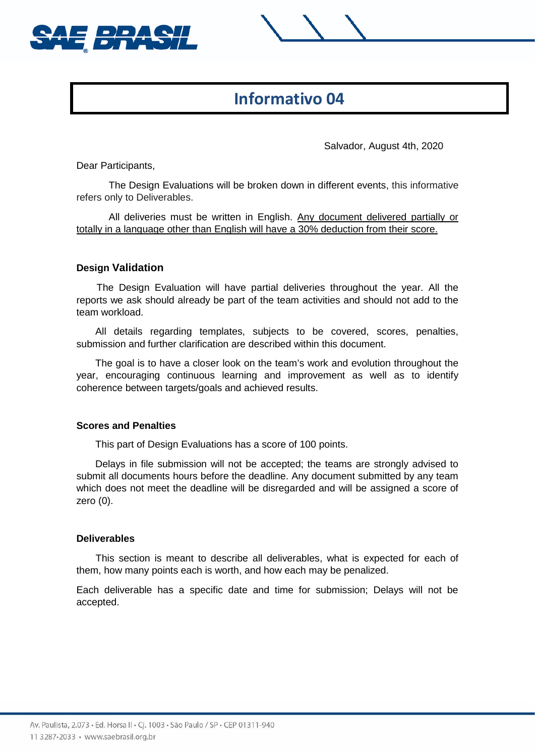



# **Informativo 04**

Salvador, August 4th, 2020

Dear Participants,

The Design Evaluations will be broken down in different events, this informative refers only to Deliverables.

All deliveries must be written in English. Any document delivered partially or totally in a language other than English will have a 30% deduction from their score.

### **Design Validation**

The Design Evaluation will have partial deliveries throughout the year. All the reports we ask should already be part of the team activities and should not add to the team workload.

All details regarding templates, subjects to be covered, scores, penalties, submission and further clarification are described within this document.

The goal is to have a closer look on the team's work and evolution throughout the year, encouraging continuous learning and improvement as well as to identify coherence between targets/goals and achieved results.

#### **Scores and Penalties**

This part of Design Evaluations has a score of 100 points.

Delays in file submission will not be accepted; the teams are strongly advised to submit all documents hours before the deadline. Any document submitted by any team which does not meet the deadline will be disregarded and will be assigned a score of zero (0).

#### **Deliverables**

This section is meant to describe all deliverables, what is expected for each of them, how many points each is worth, and how each may be penalized.

Each deliverable has a specific date and time for submission; Delays will not be accepted.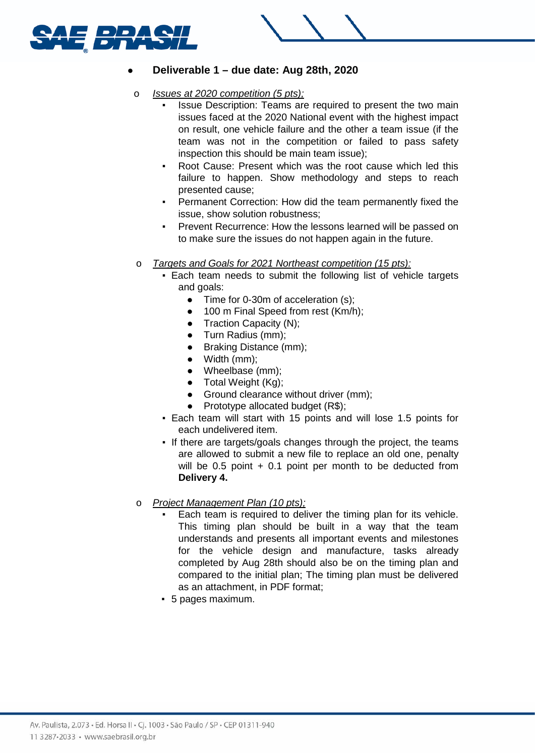



# ● **Deliverable 1 – due date: Aug 28th, 2020**

- o *Issues at 2020 competition (5 pts);*
	- Issue Description: Teams are required to present the two main issues faced at the 2020 National event with the highest impact on result, one vehicle failure and the other a team issue (if the team was not in the competition or failed to pass safety inspection this should be main team issue);
	- Root Cause: Present which was the root cause which led this failure to happen. Show methodology and steps to reach presented cause;
	- Permanent Correction: How did the team permanently fixed the issue, show solution robustness;
	- Prevent Recurrence: How the lessons learned will be passed on to make sure the issues do not happen again in the future.
- o *Targets and Goals for 2021 Northeast competition (15 pts):*
	- **Each team needs to submit the following list of vehicle targets** and goals:
		- Time for 0-30m of acceleration (s):
		- 100 m Final Speed from rest (Km/h);
		- Traction Capacity (N);
		- Turn Radius (mm);
		- Braking Distance (mm);
		- Width (mm);
		- Wheelbase (mm):
		- Total Weight (Kg);
		- Ground clearance without driver (mm);
		- Prototype allocated budget  $(R$);$
	- Each team will start with 15 points and will lose 1.5 points for each undelivered item.
	- **.** If there are targets/goals changes through the project, the teams are allowed to submit a new file to replace an old one, penalty will be  $0.5$  point  $+0.1$  point per month to be deducted from **Delivery 4.**
- o *Project Management Plan (10 pts);*
	- Each team is required to deliver the timing plan for its vehicle. This timing plan should be built in a way that the team understands and presents all important events and milestones for the vehicle design and manufacture, tasks already completed by Aug 28th should also be on the timing plan and compared to the initial plan; The timing plan must be delivered as an attachment, in PDF format;
	- 5 pages maximum.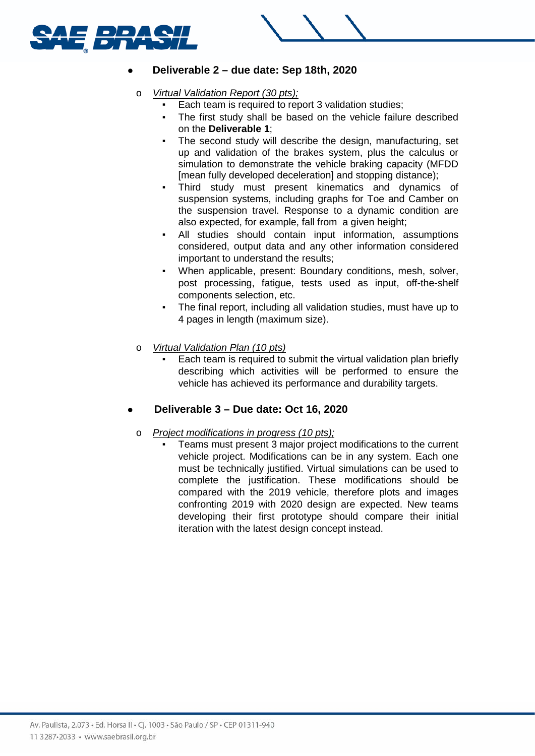



- o *Virtual Validation Report (30 pts);*
	- Each team is required to report 3 validation studies;
	- The first study shall be based on the vehicle failure described on the **Deliverable 1**;
	- The second study will describe the design, manufacturing, set up and validation of the brakes system, plus the calculus or simulation to demonstrate the vehicle braking capacity (MFDD [mean fully developed deceleration] and stopping distance);
	- Third study must present kinematics and dynamics of suspension systems, including graphs for Toe and Camber on the suspension travel. Response to a dynamic condition are also expected, for example, fall from a given height;
	- All studies should contain input information, assumptions considered, output data and any other information considered important to understand the results;
	- When applicable, present: Boundary conditions, mesh, solver, post processing, fatigue, tests used as input, off-the-shelf components selection, etc.
	- The final report, including all validation studies, must have up to 4 pages in length (maximum size).
- o *Virtual Validation Plan (10 pts)*
	- Each team is required to submit the virtual validation plan briefly describing which activities will be performed to ensure the vehicle has achieved its performance and durability targets.

# ● **Deliverable 3 – Due date: Oct 16, 2020**

- o *Project modifications in progress (10 pts);*
	- Teams must present 3 major project modifications to the current vehicle project. Modifications can be in any system. Each one must be technically justified. Virtual simulations can be used to complete the justification. These modifications should be compared with the 2019 vehicle, therefore plots and images confronting 2019 with 2020 design are expected. New teams developing their first prototype should compare their initial iteration with the latest design concept instead.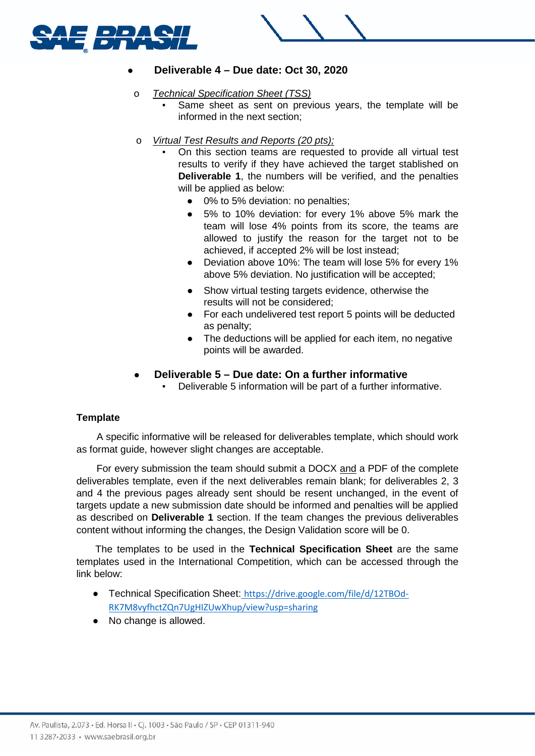



# ● **Deliverable 4 – Due date: Oct 30, 2020**

- o *Technical Specification Sheet (TSS)*
	- Same sheet as sent on previous years, the template will be informed in the next section;
- o *Virtual Test Results and Reports (20 pts);*
	- On this section teams are requested to provide all virtual test results to verify if they have achieved the target stablished on **Deliverable 1**, the numbers will be verified, and the penalties will be applied as below:
		- 0% to 5% deviation: no penalties;
		- 5% to 10% deviation: for every 1% above 5% mark the team will lose 4% points from its score, the teams are allowed to justify the reason for the target not to be achieved, if accepted 2% will be lost instead;
		- Deviation above 10%: The team will lose 5% for every 1% above 5% deviation. No justification will be accepted;
		- Show virtual testing targets evidence, otherwise the results will not be considered;
		- For each undelivered test report 5 points will be deducted as penalty;
		- The deductions will be applied for each item, no negative points will be awarded.

### ● **Deliverable 5 – Due date: On a further informative**

Deliverable 5 information will be part of a further informative.

#### **Template**

A specific informative will be released for deliverables template, which should work as format guide, however slight changes are acceptable.

For every submission the team should submit a DOCX and a PDF of the complete deliverables template, even if the next deliverables remain blank; for deliverables 2, 3 and 4 the previous pages already sent should be resent unchanged, in the event of targets update a new submission date should be informed and penalties will be applied as described on **Deliverable 1** section. If the team changes the previous deliverables content without informing the changes, the Design Validation score will be 0.

The templates to be used in the **Technical Specification Sheet** are the same templates used in the International Competition, which can be accessed through the link below:

- Technical Specification Sheet[:](https://drive.google.com/file/d/12TBOd-RK7M8vyfhctZQn7UgHIZUwXhup/view?usp=sharing) [https://drive.google.com/file/d/12TBOd-](https://drive.google.com/file/d/12TBOd-RK7M8vyfhctZQn7UgHIZUwXhup/view?usp=sharing)[RK7M8vyfhctZQn7UgHIZUwXhup/view?usp=sharing](https://drive.google.com/file/d/12TBOd-RK7M8vyfhctZQn7UgHIZUwXhup/view?usp=sharing)
- No change is allowed.